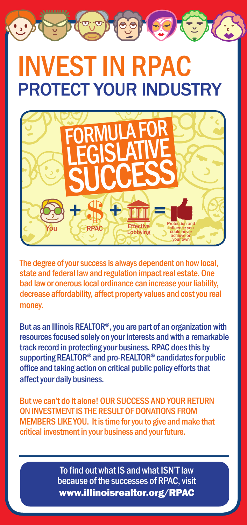# INVEST IN RPAC PROTECT YOUR INDUSTRY



The degree of your success is always dependent on how local, state and federal law and regulation impact real estate. One bad law or onerous local ordinance can increase your liability, decrease affordability, affect property values and cost you real money.

But as an Illinois REALTOR®, you are part of an organization with resources focused solely on your interests and with a remarkable track record in protecting your business. RPAC does this by supporting REALTOR® and pro-REALTOR® candidates for public office and taking action on critical public policy efforts that affect your daily business.

But we can't do it alone! OUR SUCCESS AND YOUR RETURN on investment IS the result of donations from MEMBERS LIKE YOU. It is time for you to give and make that critical investment in your business and your future.

> To find out what IS and what ISN'T law because of the successes of RPAC, visit www.illinoisrealtor.org/RPAC